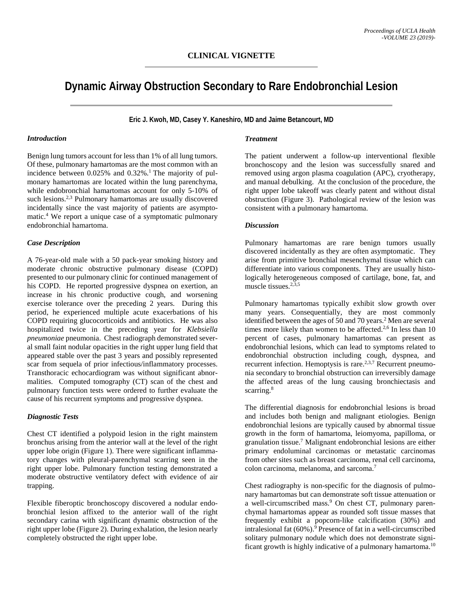# **CLINICAL VIGNETTE**

# **Dynamic Airway Obstruction Secondary to Rare Endobronchial Lesion**

**Eric J. Kwoh, MD, Casey Y. Kaneshiro, MD and Jaime Betancourt, MD**

# *Introduction*

Benign lung tumors account for less than 1% of all lung tumors. Of these, pulmonary hamartomas are the most common with an incidence between  $0.025\%$  and  $0.32\%$ .<sup>1</sup> The majority of pulmonary hamartomas are located within the lung parenchyma, while endobronchial hamartomas account for only 5-10% of such lesions.<sup>2,3</sup> Pulmonary hamartomas are usually discovered incidentally since the vast majority of patients are asymptomatic. <sup>4</sup> We report a unique case of a symptomatic pulmonary endobronchial hamartoma.

# *Case Description*

A 76-year-old male with a 50 pack-year smoking history and moderate chronic obstructive pulmonary disease (COPD) presented to our pulmonary clinic for continued management of his COPD. He reported progressive dyspnea on exertion, an increase in his chronic productive cough, and worsening exercise tolerance over the preceding 2 years. During this period, he experienced multiple acute exacerbations of his COPD requiring glucocorticoids and antibiotics. He was also hospitalized twice in the preceding year for *Klebsiella pneumoniae* pneumonia. Chest radiograph demonstrated several small faint nodular opacities in the right upper lung field that appeared stable over the past 3 years and possibly represented scar from sequela of prior infectious/inflammatory processes. Transthoracic echocardiogram was without significant abnormalities. Computed tomography (CT) scan of the chest and pulmonary function tests were ordered to further evaluate the cause of his recurrent symptoms and progressive dyspnea.

# *Diagnostic Tests*

Chest CT identified a polypoid lesion in the right mainstem bronchus arising from the anterior wall at the level of the right upper lobe origin (Figure 1). There were significant inflammatory changes with pleural-parenchymal scarring seen in the right upper lobe. Pulmonary function testing demonstrated a moderate obstructive ventilatory defect with evidence of air trapping.

Flexible fiberoptic bronchoscopy discovered a nodular endobronchial lesion affixed to the anterior wall of the right secondary carina with significant dynamic obstruction of the right upper lobe (Figure 2). During exhalation, the lesion nearly completely obstructed the right upper lobe.

#### *Treatment*

The patient underwent a follow-up interventional flexible bronchoscopy and the lesion was successfully snared and removed using argon plasma coagulation (APC), cryotherapy, and manual debulking. At the conclusion of the procedure, the right upper lobe takeoff was clearly patent and without distal obstruction (Figure 3). Pathological review of the lesion was consistent with a pulmonary hamartoma.

# *Discussion*

Pulmonary hamartomas are rare benign tumors usually discovered incidentally as they are often asymptomatic. They arise from primitive bronchial mesenchymal tissue which can differentiate into various components. They are usually histologically heterogeneous composed of cartilage, bone, fat, and muscle tissues. 2,3,5

Pulmonary hamartomas typically exhibit slow growth over many years. Consequentially, they are most commonly identified between the ages of 50 and 70 years. <sup>2</sup> Men are several times more likely than women to be affected.<sup>2,6</sup> In less than 10 percent of cases, pulmonary hamartomas can present as endobronchial lesions, which can lead to symptoms related to endobronchial obstruction including cough, dyspnea, and recurrent infection. Hemoptysis is rare.<sup>2,3,7</sup> Recurrent pneumonia secondary to bronchial obstruction can irreversibly damage the affected areas of the lung causing bronchiectasis and scarring. 8

The differential diagnosis for endobronchial lesions is broad and includes both benign and malignant etiologies. Benign endobronchial lesions are typically caused by abnormal tissue growth in the form of hamartoma, leiomyoma, papilloma, or granulation tissue.7 Malignant endobronchial lesions are either primary endoluminal carcinomas or metastatic carcinomas from other sites such as breast carcinoma, renal cell carcinoma, colon carcinoma, melanoma, and sarcoma.7

Chest radiography is non-specific for the diagnosis of pulmonary hamartomas but can demonstrate soft tissue attenuation or a well-circumscribed mass. <sup>9</sup> On chest CT, pulmonary parenchymal hamartomas appear as rounded soft tissue masses that frequently exhibit a popcorn-like calcification (30%) and intralesional fat (60%). <sup>9</sup> Presence of fat in a well-circumscribed solitary pulmonary nodule which does not demonstrate significant growth is highly indicative of a pulmonary hamartoma.<sup>10</sup>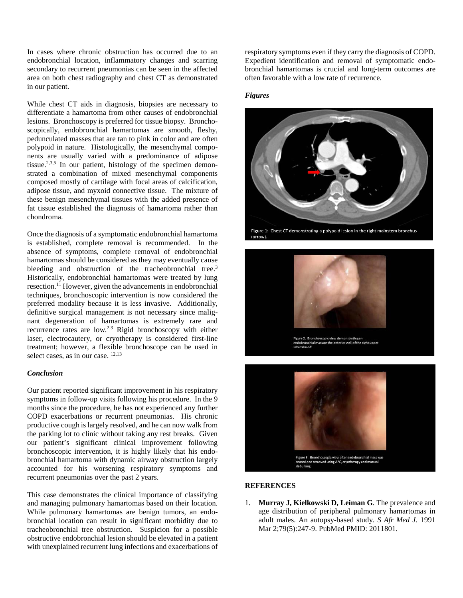In cases where chronic obstruction has occurred due to an endobronchial location, inflammatory changes and scarring secondary to recurrent pneumonias can be seen in the affected area on both chest radiography and chest CT as demonstrated in our patient.

While chest CT aids in diagnosis, biopsies are necessary to differentiate a hamartoma from other causes of endobronchial lesions. Bronchoscopy is preferred for tissue biopsy. Bronchoscopically, endobronchial hamartomas are smooth, fleshy, pedunculated masses that are tan to pink in color and are often polypoid in nature. Histologically, the mesenchymal components are usually varied with a predominance of adipose tissue.<sup>2,3,5</sup> In our patient, histology of the specimen demonstrated a combination of mixed mesenchymal components composed mostly of cartilage with focal areas of calcification, adipose tissue, and myxoid connective tissue. The mixture of these benign mesenchymal tissues with the added presence of fat tissue established the diagnosis of hamartoma rather than chondroma.

Once the diagnosis of a symptomatic endobronchial hamartoma is established, complete removal is recommended. In the absence of symptoms, complete removal of endobronchial hamartomas should be considered as they may eventually cause bleeding and obstruction of the tracheobronchial tree.<sup>3</sup> Historically, endobronchial hamartomas were treated by lung resection.<sup>11</sup> However, given the advancements in endobronchial techniques, bronchoscopic intervention is now considered the preferred modality because it is less invasive. Additionally, definitive surgical management is not necessary since malignant degeneration of hamartomas is extremely rare and recurrence rates are low.2,3 Rigid bronchoscopy with either laser, electrocautery, or cryotherapy is considered first-line treatment; however, a flexible bronchoscope can be used in select cases, as in our case. <sup>12,13</sup>

# *Conclusion*

Our patient reported significant improvement in his respiratory symptoms in follow-up visits following his procedure. In the 9 months since the procedure, he has not experienced any further COPD exacerbations or recurrent pneumonias. His chronic productive cough is largely resolved, and he can now walk from the parking lot to clinic without taking any rest breaks. Given our patient's significant clinical improvement following bronchoscopic intervention, it is highly likely that his endobronchial hamartoma with dynamic airway obstruction largely accounted for his worsening respiratory symptoms and recurrent pneumonias over the past 2 years.

This case demonstrates the clinical importance of classifying and managing pulmonary hamartomas based on their location. While pulmonary hamartomas are benign tumors, an endobronchial location can result in significant morbidity due to tracheobronchial tree obstruction. Suspicion for a possible obstructive endobronchial lesion should be elevated in a patient with unexplained recurrent lung infections and exacerbations of respiratory symptoms even if they carry the diagnosis of COPD. Expedient identification and removal of symptomatic endobronchial hamartomas is crucial and long-term outcomes are often favorable with a low rate of recurrence.

#### *Figures*



Figure 1: Chest CT demonstrating a polypoid lesion in the right mainstem bronchus





# **REFERENCES**

1. **Murray J, Kielkowski D, Leiman G**. The prevalence and age distribution of peripheral pulmonary hamartomas in adult males. An autopsy-based study. *S Afr Med J*. 1991 Mar 2;79(5):247-9. PubMed PMID: 2011801.